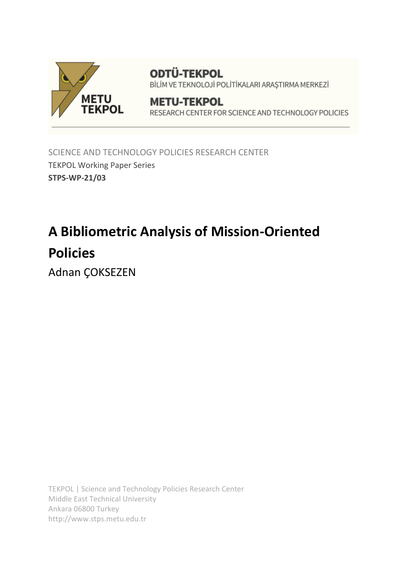

**ODTÜ-TEKPOL** BİLİM VE TEKNOLOJİ POLİTİKALARI ARAŞTIRMA MERKEZİ

# **METU-TEKPOL** RESEARCH CENTER FOR SCIENCE AND TECHNOLOGY POLICIES

SCIENCE AND TECHNOLOGY POLICIES RESEARCH CENTER TEKPOL Working Paper Series **STPS-WP-21/03**

# **A Bibliometric Analysis of Mission-Oriented Policies**

Adnan ÇOKSEZEN

TEKPOL | Science and Technology Policies Research Center Middle East Technical University Ankara 06800 Turkey http://www.stps.metu.edu.tr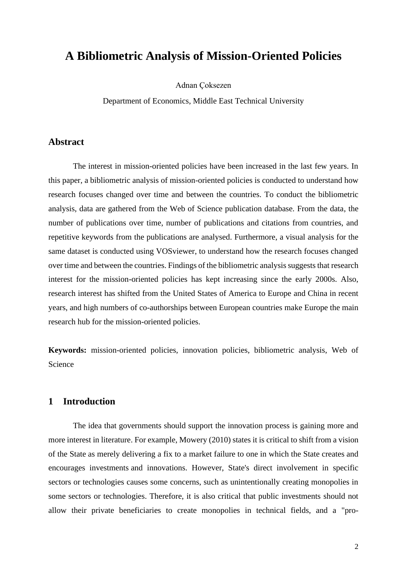# **A Bibliometric Analysis of Mission-Oriented Policies**

Adnan Çoksezen

Department of Economics, Middle East Technical University

# **Abstract**

The interest in mission-oriented policies have been increased in the last few years. In this paper, a bibliometric analysis of mission-oriented policies is conducted to understand how research focuses changed over time and between the countries. To conduct the bibliometric analysis, data are gathered from the Web of Science publication database. From the data, the number of publications over time, number of publications and citations from countries, and repetitive keywords from the publications are analysed. Furthermore, a visual analysis for the same dataset is conducted using VOSviewer, to understand how the research focuses changed over time and between the countries. Findings of the bibliometric analysis suggests that research interest for the mission-oriented policies has kept increasing since the early 2000s. Also, research interest has shifted from the United States of America to Europe and China in recent years, and high numbers of co-authorships between European countries make Europe the main research hub for the mission-oriented policies.

**Keywords:** mission-oriented policies, innovation policies, bibliometric analysis, Web of Science

# **1 Introduction**

The idea that governments should support the innovation process is gaining more and more interest in literature. For example, Mowery (2010) states it is critical to shift from a vision of the State as merely delivering a fix to a market failure to one in which the State creates and encourages investments and innovations. However, State's direct involvement in specific sectors or technologies causes some concerns, such as unintentionally creating monopolies in some sectors or technologies. Therefore, it is also critical that public investments should not allow their private beneficiaries to create monopolies in technical fields, and a "pro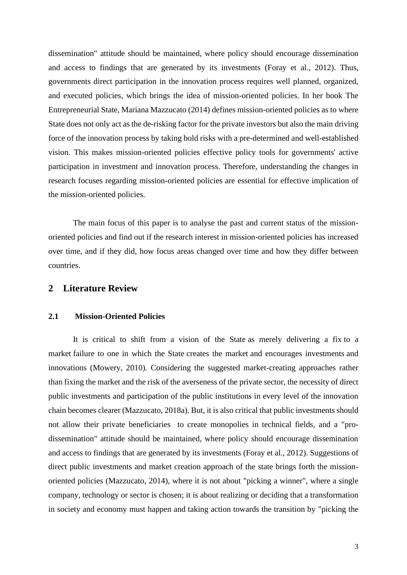dissemination" attitude should be maintained, where policy should encourage dissemination and access to findings that are generated by its investments (Foray et al., 2012). Thus, governments direct participation in the innovation process requires well planned, organized, and executed policies, which brings the idea of mission-oriented policies. In her book The Entrepreneurial State, Mariana Mazzucato (2014) defines mission-oriented policies as to where State does not only act as the de-risking factor for the private investors but also the main driving force of the innovation process by taking bold risks with a pre-determined and well-established vision. This makes mission-oriented policies effective policy tools for governments' active participation in investment and innovation process. Therefore, understanding the changes in research focuses regarding mission-oriented policies are essential for effective implication of the mission-oriented policies.

The main focus of this paper is to analyse the past and current status of the missionoriented policies and find out if the research interest in mission-oriented policies has increased over time, and if they did, how focus areas changed over time and how they differ between countries.

## **2 Literature Review**

#### **2.1 Mission-Oriented Policies**

It is critical to shift from a vision of the State as merely delivering a fix to a market failure to one in which the State creates the market and encourages investments and innovations (Mowery, 2010). Considering the suggested market-creating approaches rather than fixing the market and the risk of the averseness of the private sector, the necessity of direct public investments and participation of the public institutions in every level of the innovation chain becomes clearer (Mazzucato, 2018a). But, it is also critical that public investments should not allow their private beneficiaries to create monopolies in technical fields, and a "prodissemination" attitude should be maintained, where policy should encourage dissemination and access to findings that are generated by its investments (Foray et al., 2012). Suggestions of direct public investments and market creation approach of the state brings forth the missionoriented policies (Mazzucato, 2014), where it is not about "picking a winner", where a single company, technology or sector is chosen; it is about realizing or deciding that a transformation in society and economy must happen and taking action towards the transition by "picking the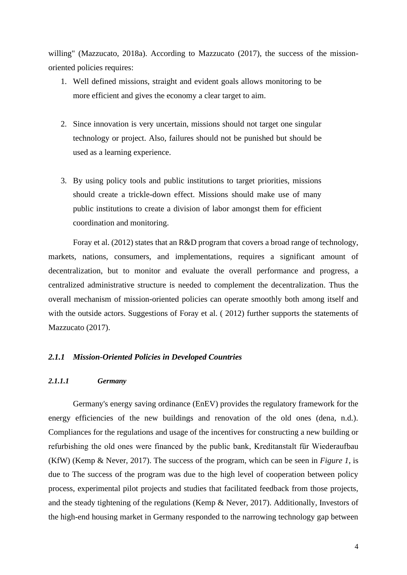willing" (Mazzucato, 2018a). According to Mazzucato (2017), the success of the missionoriented policies requires:

- 1. Well defined missions, straight and evident goals allows monitoring to be more efficient and gives the economy a clear target to aim.
- 2. Since innovation is very uncertain, missions should not target one singular technology or project. Also, failures should not be punished but should be used as a learning experience.
- 3. By using policy tools and public institutions to target priorities, missions should create a trickle-down effect. Missions should make use of many public institutions to create a division of labor amongst them for efficient coordination and monitoring.

Foray et al. (2012) states that an R&D program that covers a broad range of technology, markets, nations, consumers, and implementations, requires a significant amount of decentralization, but to monitor and evaluate the overall performance and progress, a centralized administrative structure is needed to complement the decentralization. Thus the overall mechanism of mission-oriented policies can operate smoothly both among itself and with the outside actors. Suggestions of Foray et al. (2012) further supports the statements of Mazzucato (2017).

#### *2.1.1 Mission-Oriented Policies in Developed Countries*

#### *2.1.1.1 Germany*

Germany's energy saving ordinance (EnEV) provides the regulatory framework for the energy efficiencies of the new buildings and renovation of the old ones (dena, n.d.). Compliances for the regulations and usage of the incentives for constructing a new building or refurbishing the old ones were financed by the public bank, Kreditanstalt für Wiederaufbau (KfW) (Kemp & Never, 2017). The success of the program, which can be seen in *Figure 1*, is due to The success of the program was due to the high level of cooperation between policy process, experimental pilot projects and studies that facilitated feedback from those projects, and the steady tightening of the regulations (Kemp & Never, 2017). Additionally, Investors of the high-end housing market in Germany responded to the narrowing technology gap between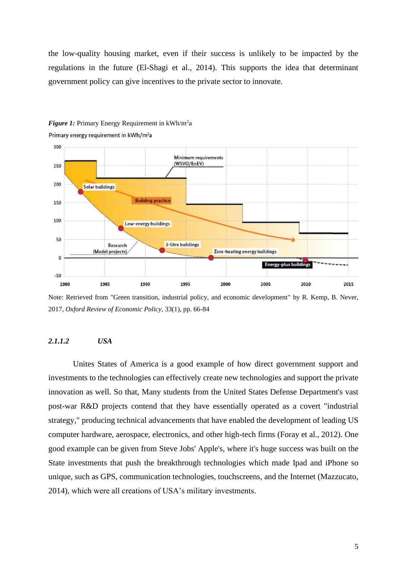the low-quality housing market, even if their success is unlikely to be impacted by the regulations in the future (El-Shagi et al., 2014). This supports the idea that determinant government policy can give incentives to the private sector to innovate.



**Figure 1:** Primary Energy Requirement in kWh/m<sup>2</sup>a Primary energy requirement in kWh/m<sup>2</sup>a

Note: Retrieved from "Green transition, industrial policy, and economic development" by R. Kemp, B. Never, 2017, *Oxford Review of Economic Policy,* 33(1), pp. 66-84

#### *2.1.1.2 USA*

Unites States of America is a good example of how direct government support and investments to the technologies can effectively create new technologies and support the private innovation as well. So that, Many students from the United States Defense Department's vast post-war R&D projects contend that they have essentially operated as a covert "industrial strategy," producing technical advancements that have enabled the development of leading US computer hardware, aerospace, electronics, and other high-tech firms (Foray et al., 2012). One good example can be given from Steve Jobs' Apple's, where it's huge success was built on the State investments that push the breakthrough technologies which made Ipad and iPhone so unique, such as GPS, communication technologies, touchscreens, and the Internet (Mazzucato, 2014), which were all creations of USA's military investments.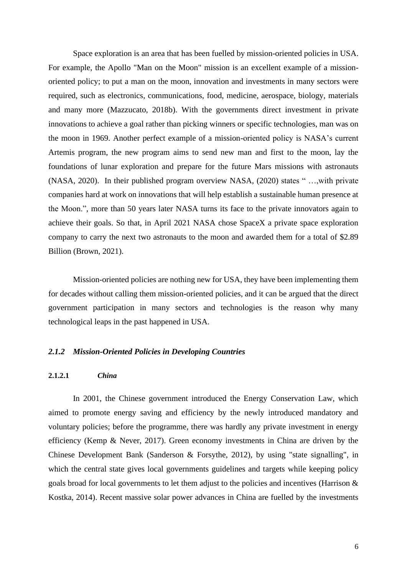Space exploration is an area that has been fuelled by mission-oriented policies in USA. For example, the Apollo "Man on the Moon" mission is an excellent example of a missionoriented policy; to put a man on the moon, innovation and investments in many sectors were required, such as electronics, communications, food, medicine, aerospace, biology, materials and many more (Mazzucato, 2018b). With the governments direct investment in private innovations to achieve a goal rather than picking winners or specific technologies, man was on the moon in 1969. Another perfect example of a mission-oriented policy is NASA's current Artemis program, the new program aims to send new man and first to the moon, lay the foundations of lunar exploration and prepare for the future Mars missions with astronauts (NASA, 2020). In their published program overview NASA, (2020) states " …,with private companies hard at work on innovations that will help establish a sustainable human presence at the Moon.", more than 50 years later NASA turns its face to the private innovators again to achieve their goals. So that, in April 2021 NASA chose SpaceX a private space exploration company to carry the next two astronauts to the moon and awarded them for a total of \$2.89 Billion (Brown, 2021).

Mission-oriented policies are nothing new for USA, they have been implementing them for decades without calling them mission-oriented policies, and it can be argued that the direct government participation in many sectors and technologies is the reason why many technological leaps in the past happened in USA.

#### *2.1.2 Mission-Oriented Policies in Developing Countries*

#### **2.1.2.1** *China*

In 2001, the Chinese government introduced the Energy Conservation Law, which aimed to promote energy saving and efficiency by the newly introduced mandatory and voluntary policies; before the programme, there was hardly any private investment in energy efficiency (Kemp & Never, 2017). Green economy investments in China are driven by the Chinese Development Bank (Sanderson & Forsythe, 2012), by using "state signalling", in which the central state gives local governments guidelines and targets while keeping policy goals broad for local governments to let them adjust to the policies and incentives (Harrison & Kostka, 2014). Recent massive solar power advances in China are fuelled by the investments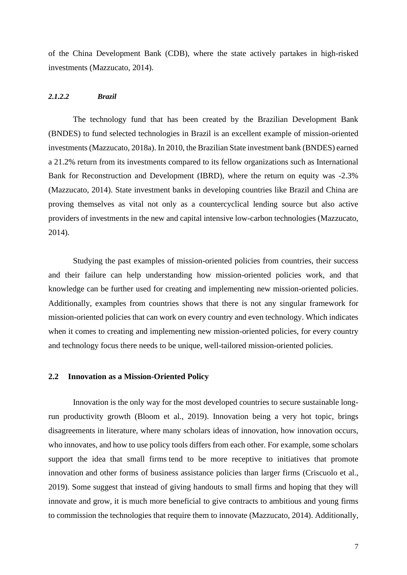of the China Development Bank (CDB), where the state actively partakes in high-risked investments (Mazzucato, 2014).

#### *2.1.2.2 Brazil*

The technology fund that has been created by the Brazilian Development Bank (BNDES) to fund selected technologies in Brazil is an excellent example of mission-oriented investments (Mazzucato, 2018a). In 2010, the Brazilian State investment bank (BNDES) earned a 21.2% return from its investments compared to its fellow organizations such as International Bank for Reconstruction and Development (IBRD), where the return on equity was -2.3% (Mazzucato, 2014). State investment banks in developing countries like Brazil and China are proving themselves as vital not only as a countercyclical lending source but also active providers of investments in the new and capital intensive low-carbon technologies (Mazzucato, 2014).

Studying the past examples of mission-oriented policies from countries, their success and their failure can help understanding how mission-oriented policies work, and that knowledge can be further used for creating and implementing new mission-oriented policies. Additionally, examples from countries shows that there is not any singular framework for mission-oriented policies that can work on every country and even technology. Which indicates when it comes to creating and implementing new mission-oriented policies, for every country and technology focus there needs to be unique, well-tailored mission-oriented policies.

#### **2.2 Innovation as a Mission-Oriented Policy**

Innovation is the only way for the most developed countries to secure sustainable longrun productivity growth (Bloom et al., 2019). Innovation being a very hot topic, brings disagreements in literature, where many scholars ideas of innovation, how innovation occurs, who innovates, and how to use policy tools differs from each other. For example, some scholars support the idea that small firms tend to be more receptive to initiatives that promote innovation and other forms of business assistance policies than larger firms (Criscuolo et al., 2019). Some suggest that instead of giving handouts to small firms and hoping that they will innovate and grow, it is much more beneficial to give contracts to ambitious and young firms to commission the technologies that require them to innovate (Mazzucato, 2014). Additionally,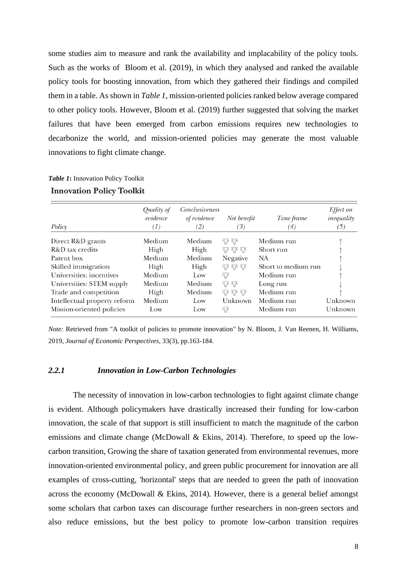some studies aim to measure and rank the availability and implacability of the policy tools. Such as the works of Bloom et al. (2019), in which they analysed and ranked the available policy tools for boosting innovation, from which they gathered their findings and compiled them in a table. As shown in *Table 1*, mission-oriented policies ranked below average compared to other policy tools. However, Bloom et al. (2019) further suggested that solving the market failures that have been emerged from carbon emissions requires new technologies to decarbonize the world, and mission-oriented policies may generate the most valuable innovations to fight climate change.

| Policy                       | Quality of<br>evidence<br>(1) | Conclusiveness<br>of evidence<br>(2) | Net benefit<br>$\left( 3\right)$ | Time frame<br>(4)   | Effect on<br>inequality<br>(5) |
|------------------------------|-------------------------------|--------------------------------------|----------------------------------|---------------------|--------------------------------|
| Direct R&D grants            | Medium                        | Medium                               | 沙 沙                              | Medium run          |                                |
| R&D tax credits              | High                          | High                                 | 沙沙                               | Short run           |                                |
| Patent box                   | Medium                        | Medium                               | Negative                         | <b>NA</b>           |                                |
| Skilled immigration          | High                          | High                                 | 沙沙                               | Short to medium run |                                |
| Universities: incentives     | Medium                        | Low                                  | 沁                                | Medium run          |                                |
| Universities: STEM supply    | Medium                        | Medium                               | 沙 沙                              | Long run            |                                |
| Trade and competition        | High                          | Medium                               | 沙沙                               | Medium run          |                                |
| Intellectual property reform | Medium                        | Low                                  | Unknown                          | Medium run          | Unknown                        |
| Mission-oriented policies    | Low                           | Low                                  | $\widehat{\mathbb{R}}^2$         | Medium run          | Unknown                        |

# *Table 1***:** Innovation Policy Toolkit **Innovation Policy Toolkit**

*Note:* Retrieved from "A toolkit of policies to promote innovation" by N. Bloom, J. Van Reenen, H. Williams, 2019, *Journal of Economic Perspectives,* 33(3), pp.163-184.

#### *2.2.1 Innovation in Low-Carbon Technologies*

The necessity of innovation in low-carbon technologies to fight against climate change is evident. Although policymakers have drastically increased their funding for low-carbon innovation, the scale of that support is still insufficient to match the magnitude of the carbon emissions and climate change (McDowall & Ekins, 2014). Therefore, to speed up the lowcarbon transition, Growing the share of taxation generated from environmental revenues, more innovation-oriented environmental policy, and green public procurement for innovation are all examples of cross-cutting, 'horizontal' steps that are needed to green the path of innovation across the economy (McDowall & Ekins, 2014). However, there is a general belief amongst some scholars that carbon taxes can discourage further researchers in non-green sectors and also reduce emissions, but the best policy to promote low-carbon transition requires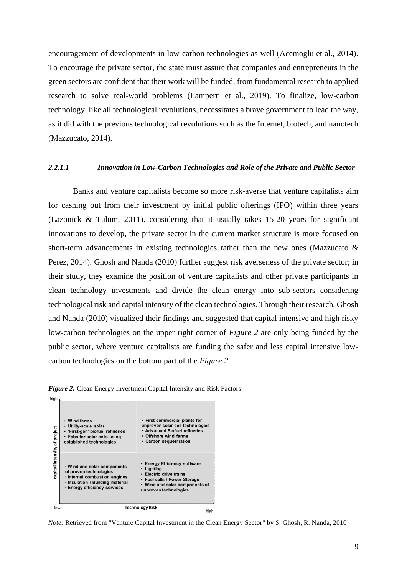encouragement of developments in low-carbon technologies as well (Acemoglu et al., 2014). To encourage the private sector, the state must assure that companies and entrepreneurs in the green sectors are confident that their work will be funded, from fundamental research to applied research to solve real-world problems (Lamperti et al., 2019). To finalize, low-carbon technology, like all technological revolutions, necessitates a brave government to lead the way, as it did with the previous technological revolutions such as the Internet, biotech, and nanotech (Mazzucato, 2014).

#### *2.2.1.1 Innovation in Low-Carbon Technologies and Role of the Private and Public Sector*

Banks and venture capitalists become so more risk-averse that venture capitalists aim for cashing out from their investment by initial public offerings (IPO) within three years (Lazonick & Tulum, 2011). considering that it usually takes 15-20 years for significant innovations to develop, the private sector in the current market structure is more focused on short-term advancements in existing technologies rather than the new ones (Mazzucato & Perez, 2014). Ghosh and Nanda (2010) further suggest risk averseness of the private sector; in their study, they examine the position of venture capitalists and other private participants in clean technology investments and divide the clean energy into sub-sectors considering technological risk and capital intensity of the clean technologies. Through their research, Ghosh and Nanda (2010) visualized their findings and suggested that capital intensive and high risky low-carbon technologies on the upper right corner of *Figure 2* are only being funded by the public sector, where venture capitalists are funding the safer and less capital intensive lowcarbon technologies on the bottom part of the *Figure 2*.





*Note:* Retrieved from "Venture Capital Investment in the Clean Energy Sector" by S. Ghosh, R. Nanda, 2010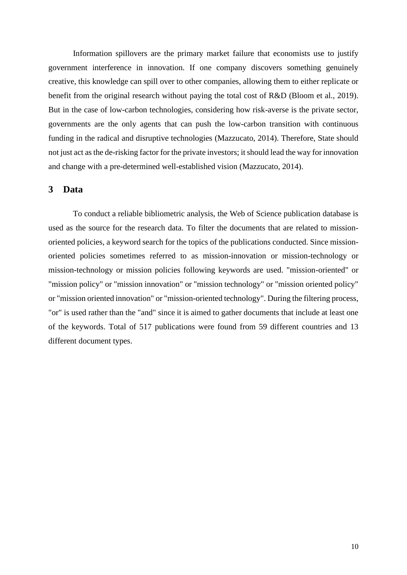Information spillovers are the primary market failure that economists use to justify government interference in innovation. If one company discovers something genuinely creative, this knowledge can spill over to other companies, allowing them to either replicate or benefit from the original research without paying the total cost of R&D (Bloom et al., 2019). But in the case of low-carbon technologies, considering how risk-averse is the private sector, governments are the only agents that can push the low-carbon transition with continuous funding in the radical and disruptive technologies (Mazzucato, 2014). Therefore, State should not just act as the de-risking factor for the private investors; it should lead the way for innovation and change with a pre-determined well-established vision (Mazzucato, 2014).

# **3 Data**

To conduct a reliable bibliometric analysis, the Web of Science publication database is used as the source for the research data. To filter the documents that are related to missionoriented policies, a keyword search for the topics of the publications conducted. Since missionoriented policies sometimes referred to as mission-innovation or mission-technology or mission-technology or mission policies following keywords are used. "mission-oriented" or "mission policy" or "mission innovation" or "mission technology" or "mission oriented policy" or "mission oriented innovation" or "mission-oriented technology". During the filtering process, "or" is used rather than the "and" since it is aimed to gather documents that include at least one of the keywords. Total of 517 publications were found from 59 different countries and 13 different document types.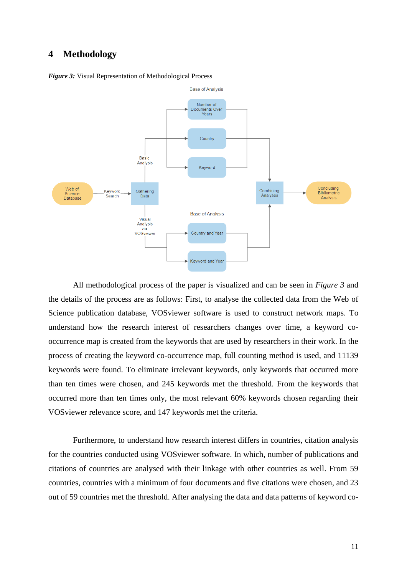# **4 Methodology**



*Figure 3:* Visual Representation of Methodological Process

All methodological process of the paper is visualized and can be seen in *Figure 3* and the details of the process are as follows: First, to analyse the collected data from the Web of Science publication database, VOSviewer software is used to construct network maps. To understand how the research interest of researchers changes over time, a keyword cooccurrence map is created from the keywords that are used by researchers in their work. In the process of creating the keyword co-occurrence map, full counting method is used, and 11139 keywords were found. To eliminate irrelevant keywords, only keywords that occurred more than ten times were chosen, and 245 keywords met the threshold. From the keywords that occurred more than ten times only, the most relevant 60% keywords chosen regarding their VOSviewer relevance score, and 147 keywords met the criteria.

Furthermore, to understand how research interest differs in countries, citation analysis for the countries conducted using VOSviewer software. In which, number of publications and citations of countries are analysed with their linkage with other countries as well. From 59 countries, countries with a minimum of four documents and five citations were chosen, and 23 out of 59 countries met the threshold. After analysing the data and data patterns of keyword co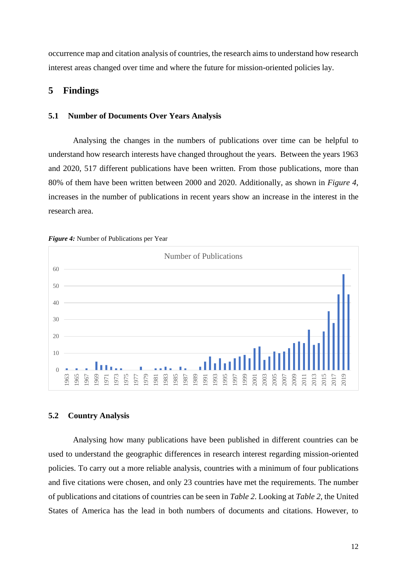occurrence map and citation analysis of countries, the research aims to understand how research interest areas changed over time and where the future for mission-oriented policies lay.

### **Findings**

#### **5.1 Number of Documents Over Years Analysis**

Analysing the changes in the numbers of publications over time can be helpful to understand how research interests have changed throughout the years. Between the years 1963 and 2020, 517 different publications have been written. From those publications, more than 80% of them have been written between 2000 and 2020. Additionally, as shown in *Figure 4*, increases in the number of publications in recent years show an increase in the interest in the research area.





#### **5.2 Country Analysis**

Analysing how many publications have been published in different countries can be used to understand the geographic differences in research interest regarding mission-oriented policies. To carry out a more reliable analysis, countries with a minimum of four publications and five citations were chosen, and only 23 countries have met the requirements. The number of publications and citations of countries can be seen in *Table 2*. Looking at *Table 2*, the United States of America has the lead in both numbers of documents and citations. However, to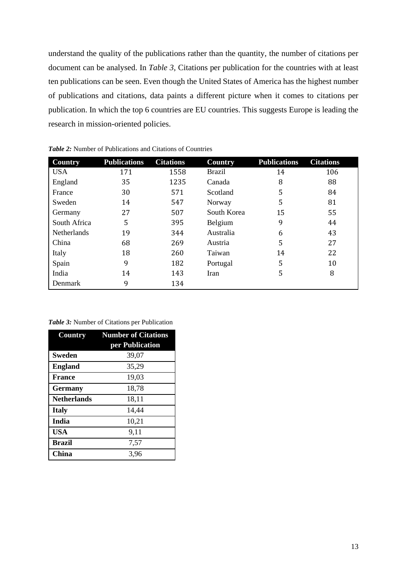understand the quality of the publications rather than the quantity, the number of citations per document can be analysed. In *Table 3*, Citations per publication for the countries with at least ten publications can be seen. Even though the United States of America has the highest number of publications and citations, data paints a different picture when it comes to citations per publication. In which the top 6 countries are EU countries. This suggests Europe is leading the research in mission-oriented policies.

| Country            | <b>Publications</b> | <b>Citations</b> | Country       | <b>Publications</b> | <b>Citations</b> |
|--------------------|---------------------|------------------|---------------|---------------------|------------------|
| <b>USA</b>         | 171                 | 1558             | <b>Brazil</b> | 14                  | 106              |
| England            | 35                  | 1235             | Canada        | 8                   | 88               |
| France             | 30                  | 571              | Scotland      | 5                   | 84               |
| Sweden             | 14                  | 547              | Norway        | 5                   | 81               |
| Germany            | 27                  | 507              | South Korea   | 15                  | 55               |
| South Africa       | 5                   | 395              | Belgium       | 9                   | 44               |
| <b>Netherlands</b> | 19                  | 344              | Australia     | 6                   | 43               |
| China              | 68                  | 269              | Austria       | 5                   | 27               |
| Italy              | 18                  | 260              | Taiwan        | 14                  | 22               |
| Spain              | 9                   | 182              | Portugal      | 5                   | 10               |
| India              | 14                  | 143              | Iran          | 5                   | 8                |
| Denmark            | 9                   | 134              |               |                     |                  |

*Table 2:* Number of Publications and Citations of Countries

*Table 3:* Number of Citations per Publication

| <b>Country</b>     | <b>Number of Citations</b> |  |  |
|--------------------|----------------------------|--|--|
|                    | per Publication            |  |  |
| <b>Sweden</b>      | 39,07                      |  |  |
| <b>England</b>     | 35,29                      |  |  |
| <b>France</b>      | 19,03                      |  |  |
| <b>Germany</b>     | 18,78                      |  |  |
| <b>Netherlands</b> | 18,11                      |  |  |
| <b>Italy</b>       | 14,44                      |  |  |
| India              | 10,21                      |  |  |
| <b>USA</b>         | 9,11                       |  |  |
| <b>Brazil</b>      | 7,57                       |  |  |
| China              | 3,96                       |  |  |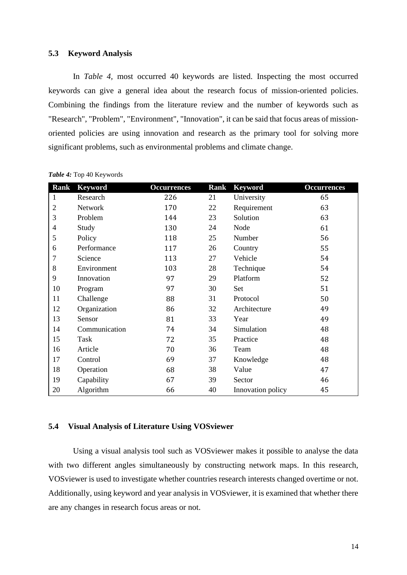#### **5.3 Keyword Analysis**

In *Table 4,* most occurred 40 keywords are listed. Inspecting the most occurred keywords can give a general idea about the research focus of mission-oriented policies. Combining the findings from the literature review and the number of keywords such as "Research", "Problem", "Environment", "Innovation", it can be said that focus areas of missionoriented policies are using innovation and research as the primary tool for solving more significant problems, such as environmental problems and climate change.

| <b>Rank</b>    | <b>Keyword</b> | <b>Occurrences</b> | <b>Rank</b> | <b>Keyword</b>    | <b>Occurrences</b> |
|----------------|----------------|--------------------|-------------|-------------------|--------------------|
| $\mathbf{1}$   | Research       | 226                | 21          | University        | 65                 |
| $\overline{2}$ | Network        | 170                | 22          | Requirement       | 63                 |
| 3              | Problem        | 144                | 23          | Solution          | 63                 |
| $\overline{4}$ | Study          | 130                | 24          | Node              | 61                 |
| 5              | Policy         | 118                | 25          | Number            | 56                 |
| 6              | Performance    | 117                | 26          | Country           | 55                 |
| 7              | Science        | 113                | 27          | Vehicle           | 54                 |
| 8              | Environment    | 103                | 28          | Technique         | 54                 |
| 9              | Innovation     | 97                 | 29          | Platform          | 52                 |
| 10             | Program        | 97                 | 30          | Set               | 51                 |
| 11             | Challenge      | 88                 | 31          | Protocol          | 50                 |
| 12             | Organization   | 86                 | 32          | Architecture      | 49                 |
| 13             | Sensor         | 81                 | 33          | Year              | 49                 |
| 14             | Communication  | 74                 | 34          | Simulation        | 48                 |
| 15             | Task           | 72                 | 35          | Practice          | 48                 |
| 16             | Article        | 70                 | 36          | Team              | 48                 |
| 17             | Control        | 69                 | 37          | Knowledge         | 48                 |
| 18             | Operation      | 68                 | 38          | Value             | 47                 |
| 19             | Capability     | 67                 | 39          | Sector            | 46                 |
| 20             | Algorithm      | 66                 | 40          | Innovation policy | 45                 |

*Table 4:* Top 40 Keywords

#### **5.4 Visual Analysis of Literature Using VOSviewer**

Using a visual analysis tool such as VOSviewer makes it possible to analyse the data with two different angles simultaneously by constructing network maps. In this research, VOSviewer is used to investigate whether countries research interests changed overtime or not. Additionally, using keyword and year analysis in VOSviewer, it is examined that whether there are any changes in research focus areas or not.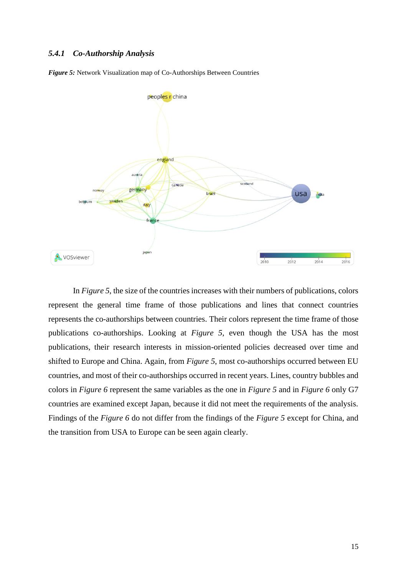#### *5.4.1 Co-Authorship Analysis*

*Figure 5:* Network Visualization map of Co-Authorships Between Countries



In *Figure 5*, the size of the countries increases with their numbers of publications, colors represent the general time frame of those publications and lines that connect countries represents the co-authorships between countries. Their colors represent the time frame of those publications co-authorships. Looking at *Figure 5*, even though the USA has the most publications, their research interests in mission-oriented policies decreased over time and shifted to Europe and China. Again, from *Figure 5*, most co-authorships occurred between EU countries, and most of their co-authorships occurred in recent years. Lines, country bubbles and colors in *Figure 6* represent the same variables as the one in *Figure 5* and in *Figure 6* only G7 countries are examined except Japan, because it did not meet the requirements of the analysis. Findings of the *Figure 6* do not differ from the findings of the *Figure 5* except for China, and the transition from USA to Europe can be seen again clearly.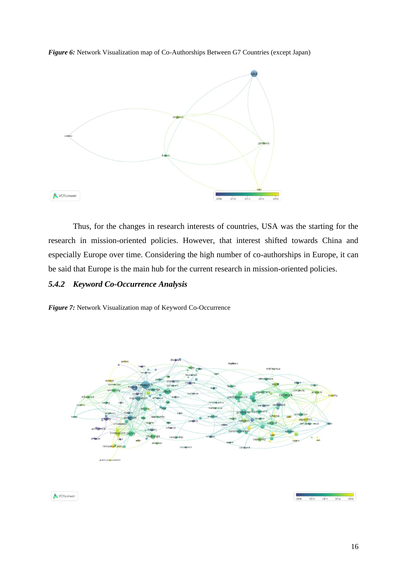*Figure 6:* Network Visualization map of Co-Authorships Between G7 Countries (except Japan)



Thus, for the changes in research interests of countries, USA was the starting for the research in mission-oriented policies. However, that interest shifted towards China and especially Europe over time. Considering the high number of co-authorships in Europe, it can be said that Europe is the main hub for the current research in mission-oriented policies.

# *5.4.2 Keyword Co-Occurrence Analysis*

*Figure 7:* Network Visualization map of Keyword Co-Occurrence



**A** VOSviewer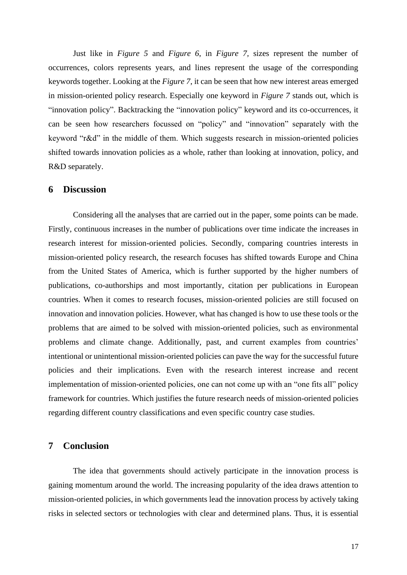Just like in *Figure 5* and *Figure 6*, in *Figure 7,* sizes represent the number of occurrences, colors represents years, and lines represent the usage of the corresponding keywords together. Looking at the *Figure 7*, it can be seen that how new interest areas emerged in mission-oriented policy research. Especially one keyword in *Figure 7* stands out, which is "innovation policy". Backtracking the "innovation policy" keyword and its co-occurrences, it can be seen how researchers focussed on "policy" and "innovation" separately with the keyword "r&d" in the middle of them. Which suggests research in mission-oriented policies shifted towards innovation policies as a whole, rather than looking at innovation, policy, and R&D separately.

#### **6 Discussion**

Considering all the analyses that are carried out in the paper, some points can be made. Firstly, continuous increases in the number of publications over time indicate the increases in research interest for mission-oriented policies. Secondly, comparing countries interests in mission-oriented policy research, the research focuses has shifted towards Europe and China from the United States of America, which is further supported by the higher numbers of publications, co-authorships and most importantly, citation per publications in European countries. When it comes to research focuses, mission-oriented policies are still focused on innovation and innovation policies. However, what has changed is how to use these tools or the problems that are aimed to be solved with mission-oriented policies, such as environmental problems and climate change. Additionally, past, and current examples from countries' intentional or unintentional mission-oriented policies can pave the way for the successful future policies and their implications. Even with the research interest increase and recent implementation of mission-oriented policies, one can not come up with an "one fits all" policy framework for countries. Which justifies the future research needs of mission-oriented policies regarding different country classifications and even specific country case studies.

## **7 Conclusion**

The idea that governments should actively participate in the innovation process is gaining momentum around the world. The increasing popularity of the idea draws attention to mission-oriented policies, in which governments lead the innovation process by actively taking risks in selected sectors or technologies with clear and determined plans. Thus, it is essential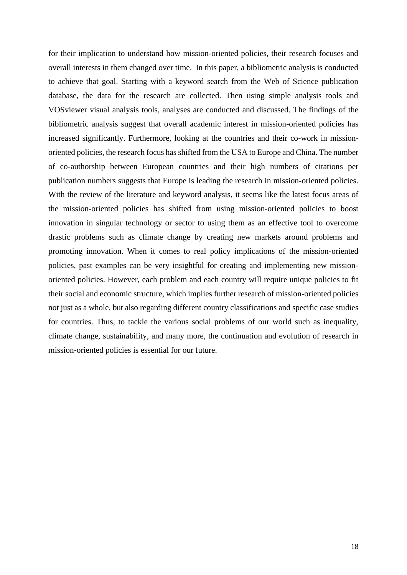for their implication to understand how mission-oriented policies, their research focuses and overall interests in them changed over time. In this paper, a bibliometric analysis is conducted to achieve that goal. Starting with a keyword search from the Web of Science publication database, the data for the research are collected. Then using simple analysis tools and VOSviewer visual analysis tools, analyses are conducted and discussed. The findings of the bibliometric analysis suggest that overall academic interest in mission-oriented policies has increased significantly. Furthermore, looking at the countries and their co-work in missionoriented policies, the research focus has shifted from the USA to Europe and China. The number of co-authorship between European countries and their high numbers of citations per publication numbers suggests that Europe is leading the research in mission-oriented policies. With the review of the literature and keyword analysis, it seems like the latest focus areas of the mission-oriented policies has shifted from using mission-oriented policies to boost innovation in singular technology or sector to using them as an effective tool to overcome drastic problems such as climate change by creating new markets around problems and promoting innovation. When it comes to real policy implications of the mission-oriented policies, past examples can be very insightful for creating and implementing new missionoriented policies. However, each problem and each country will require unique policies to fit their social and economic structure, which implies further research of mission-oriented policies not just as a whole, but also regarding different country classifications and specific case studies for countries. Thus, to tackle the various social problems of our world such as inequality, climate change, sustainability, and many more, the continuation and evolution of research in mission-oriented policies is essential for our future.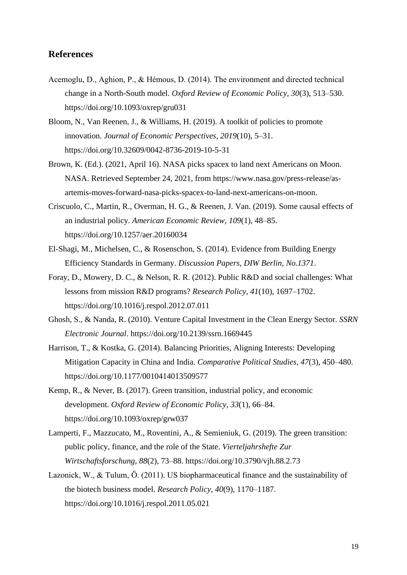# **References**

- Acemoglu, D., Aghion, P., & Hémous, D. (2014). The environment and directed technical change in a North-South model. *Oxford Review of Economic Policy*, *30*(3), 513–530. https://doi.org/10.1093/oxrep/gru031
- Bloom, N., Van Reenen, J., & Williams, H. (2019). A toolkit of policies to promote innovation. *Journal of Economic Perspectives*, *2019*(10), 5–31. https://doi.org/10.32609/0042-8736-2019-10-5-31
- Brown, K. (Ed.). (2021, April 16). NASA picks spacex to land next Americans on Moon. NASA. Retrieved September 24, 2021, from https://www.nasa.gov/press-release/asartemis-moves-forward-nasa-picks-spacex-to-land-next-americans-on-moon.
- Criscuolo, C., Martin, R., Overman, H. G., & Reenen, J. Van. (2019). Some causal effects of an industrial policy. *American Economic Review*, *109*(1), 48–85. https://doi.org/10.1257/aer.20160034
- El-Shagi, M., Michelsen, C., & Rosenschon, S. (2014). Evidence from Building Energy Efficiency Standards in Germany. *Discussion Papers, DIW Berlin, No.1371*.
- Foray, D., Mowery, D. C., & Nelson, R. R. (2012). Public R&D and social challenges: What lessons from mission R&D programs? *Research Policy*, *41*(10), 1697–1702. https://doi.org/10.1016/j.respol.2012.07.011
- Ghosh, S., & Nanda, R. (2010). Venture Capital Investment in the Clean Energy Sector. *SSRN Electronic Journal*. https://doi.org/10.2139/ssrn.1669445
- Harrison, T., & Kostka, G. (2014). Balancing Priorities, Aligning Interests: Developing Mitigation Capacity in China and India. *Comparative Political Studies*, *47*(3), 450–480. https://doi.org/10.1177/0010414013509577
- Kemp, R., & Never, B. (2017). Green transition, industrial policy, and economic development. *Oxford Review of Economic Policy*, *33*(1), 66–84. https://doi.org/10.1093/oxrep/grw037
- Lamperti, F., Mazzucato, M., Roventini, A., & Semieniuk, G. (2019). The green transition: public policy, finance, and the role of the State. *Vierteljahrshefte Zur Wirtschaftsforschung*, *88*(2), 73–88. https://doi.org/10.3790/vjh.88.2.73
- Lazonick, W., & Tulum, Ö. (2011). US biopharmaceutical finance and the sustainability of the biotech business model. *Research Policy*, *40*(9), 1170–1187. https://doi.org/10.1016/j.respol.2011.05.021